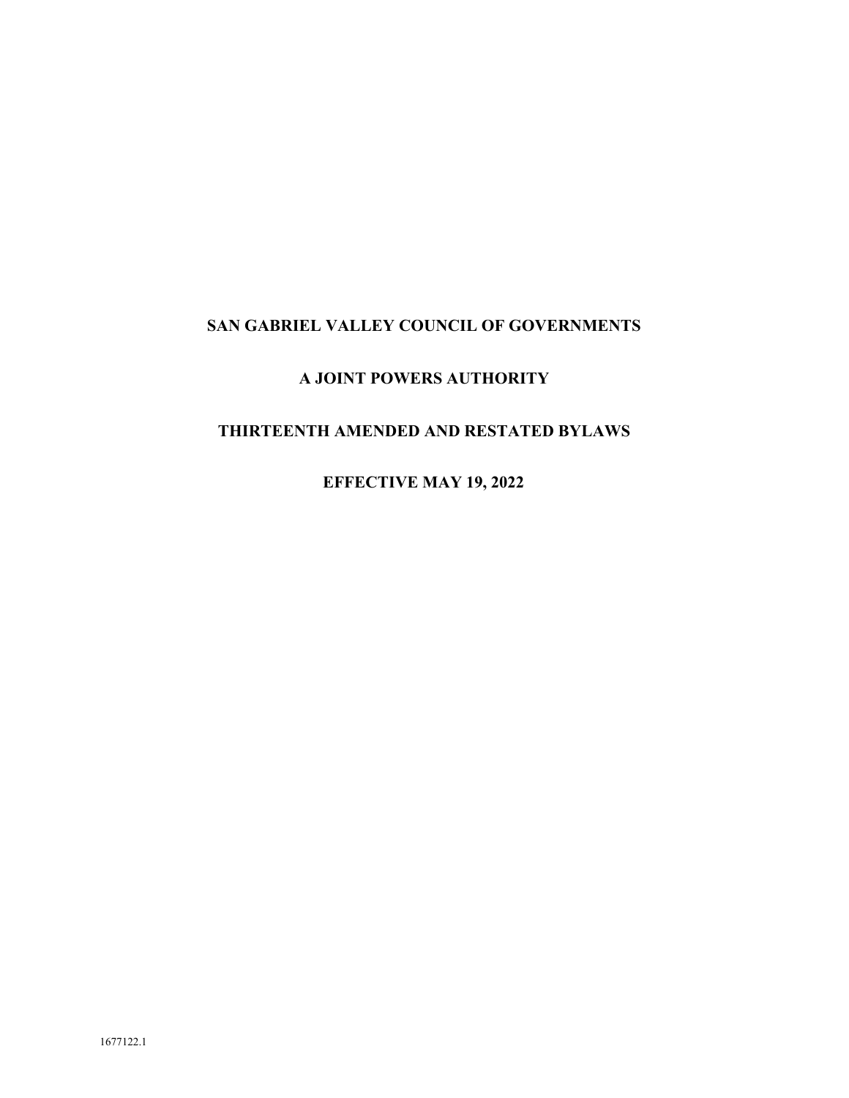# **SAN GABRIEL VALLEY COUNCIL OF GOVERNMENTS**

# **A JOINT POWERS AUTHORITY**

# **THIRTEENTH AMENDED AND RESTATED BYLAWS**

**EFFECTIVE MAY 19, 2022**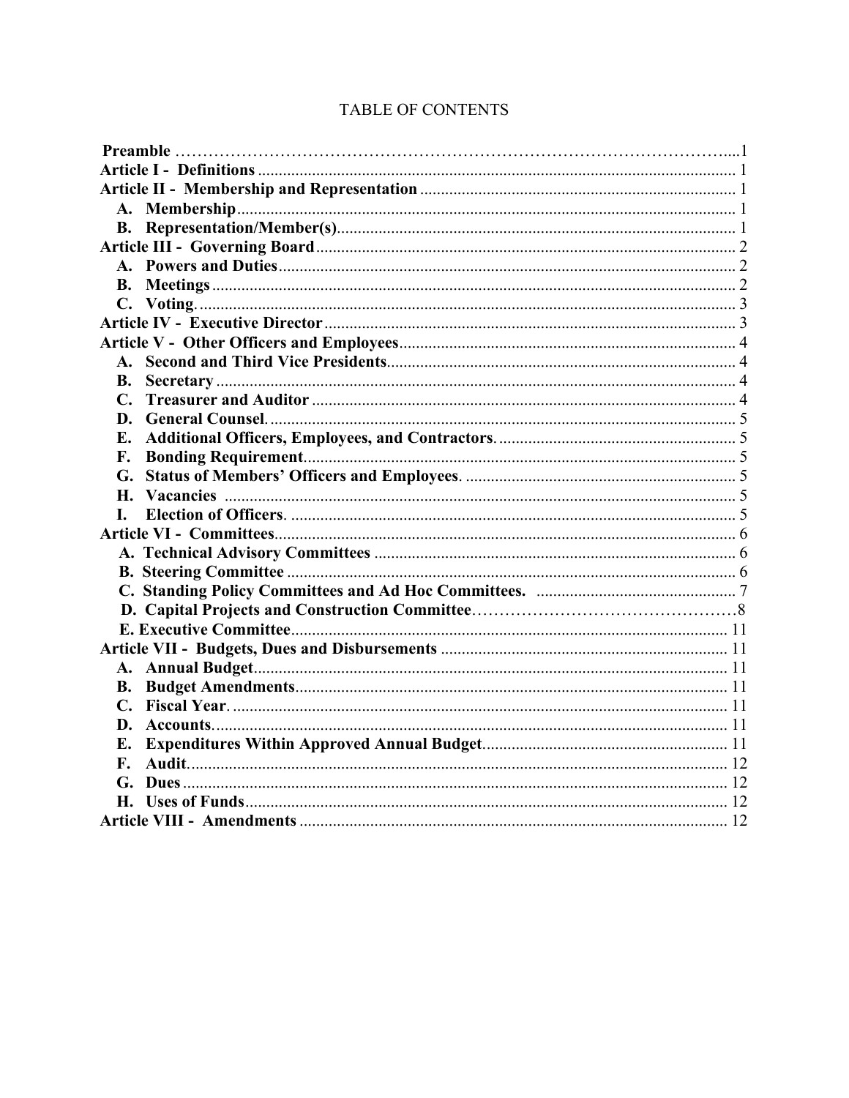| $\mathbf{A}_{\mathbf{z}}$ |  |
|---------------------------|--|
| В.                        |  |
| $\mathbf{C}$ .            |  |
| D.                        |  |
|                           |  |
| F.                        |  |
| G.                        |  |
|                           |  |
| L.                        |  |
|                           |  |
|                           |  |
|                           |  |
|                           |  |
|                           |  |
|                           |  |
|                           |  |
|                           |  |
| В.                        |  |
|                           |  |
| D.                        |  |
| E.                        |  |
| F.                        |  |
|                           |  |
|                           |  |
|                           |  |

# TABLE OF CONTENTS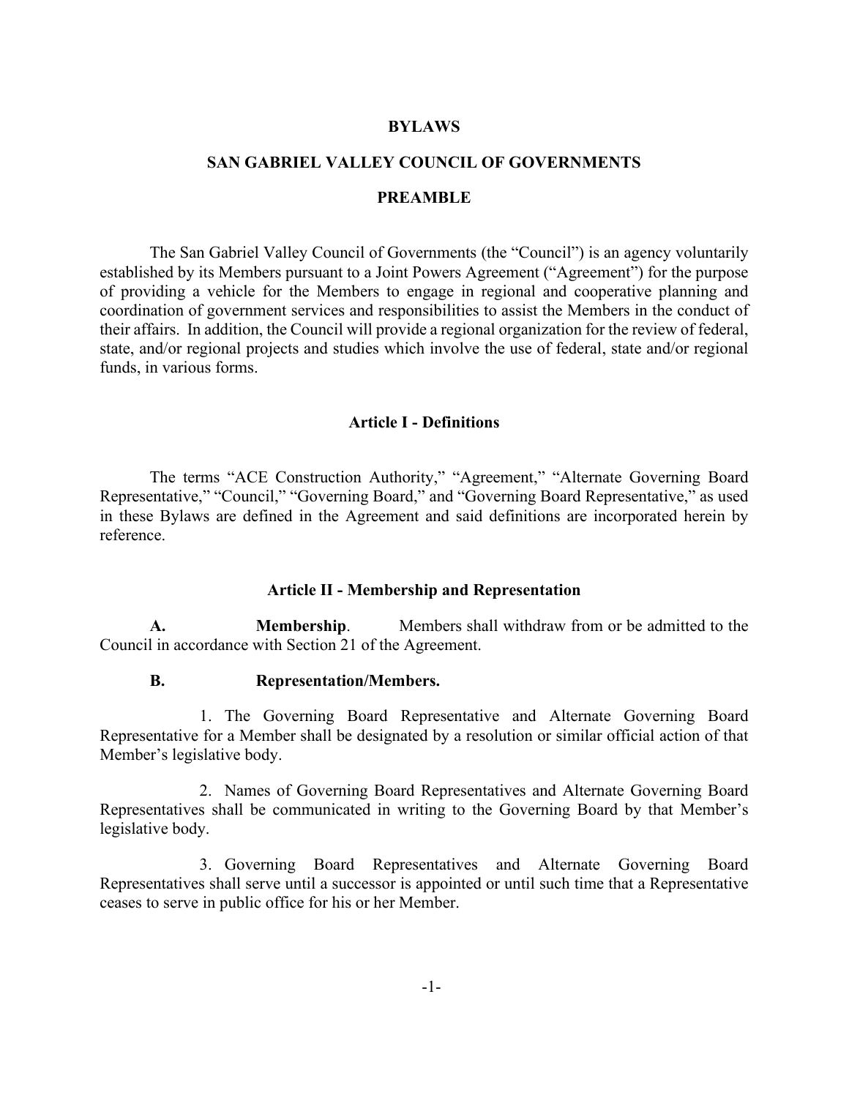### **BYLAWS**

#### **SAN GABRIEL VALLEY COUNCIL OF GOVERNMENTS**

#### **PREAMBLE**

The San Gabriel Valley Council of Governments (the "Council") is an agency voluntarily established by its Members pursuant to a Joint Powers Agreement ("Agreement") for the purpose of providing a vehicle for the Members to engage in regional and cooperative planning and coordination of government services and responsibilities to assist the Members in the conduct of their affairs. In addition, the Council will provide a regional organization for the review of federal, state, and/or regional projects and studies which involve the use of federal, state and/or regional funds, in various forms.

#### **Article I - Definitions**

<span id="page-2-0"></span>The terms "ACE Construction Authority," "Agreement," "Alternate Governing Board Representative," "Council," "Governing Board," and "Governing Board Representative," as used in these Bylaws are defined in the Agreement and said definitions are incorporated herein by reference.

#### **Article II - Membership and Representation**

<span id="page-2-3"></span><span id="page-2-2"></span><span id="page-2-1"></span>**A. Membership**. Members shall withdraw from or be admitted to the Council in accordance with Section 21 of the Agreement.

### **B. Representation/Members.**

1. The Governing Board Representative and Alternate Governing Board Representative for a Member shall be designated by a resolution or similar official action of that Member's legislative body.

2. Names of Governing Board Representatives and Alternate Governing Board Representatives shall be communicated in writing to the Governing Board by that Member's legislative body.

3. Governing Board Representatives and Alternate Governing Board Representatives shall serve until a successor is appointed or until such time that a Representative ceases to serve in public office for his or her Member.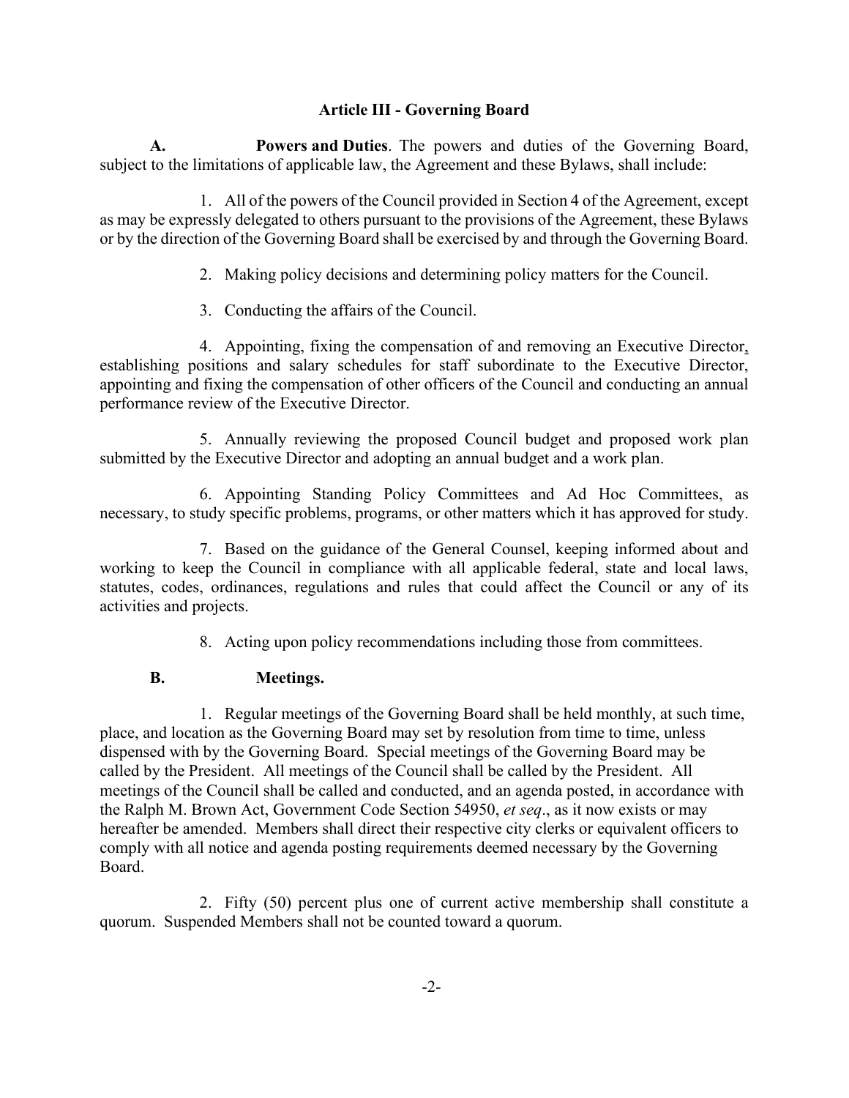## **Article III - Governing Board**

<span id="page-3-1"></span><span id="page-3-0"></span>**A. Powers and Duties**. The powers and duties of the Governing Board, subject to the limitations of applicable law, the Agreement and these Bylaws, shall include:

1. All of the powers of the Council provided in Section 4 of the Agreement, except as may be expressly delegated to others pursuant to the provisions of the Agreement, these Bylaws or by the direction of the Governing Board shall be exercised by and through the Governing Board.

- 2. Making policy decisions and determining policy matters for the Council.
- 3. Conducting the affairs of the Council.

4. Appointing, fixing the compensation of and removing an Executive Director, establishing positions and salary schedules for staff subordinate to the Executive Director, appointing and fixing the compensation of other officers of the Council and conducting an annual performance review of the Executive Director.

5. Annually reviewing the proposed Council budget and proposed work plan submitted by the Executive Director and adopting an annual budget and a work plan.

6. Appointing Standing Policy Committees and Ad Hoc Committees, as necessary, to study specific problems, programs, or other matters which it has approved for study.

7. Based on the guidance of the General Counsel, keeping informed about and working to keep the Council in compliance with all applicable federal, state and local laws, statutes, codes, ordinances, regulations and rules that could affect the Council or any of its activities and projects.

8. Acting upon policy recommendations including those from committees.

# <span id="page-3-2"></span>**B. Meetings.**

1. Regular meetings of the Governing Board shall be held monthly, at such time, place, and location as the Governing Board may set by resolution from time to time, unless dispensed with by the Governing Board. Special meetings of the Governing Board may be called by the President. All meetings of the Council shall be called by the President. All meetings of the Council shall be called and conducted, and an agenda posted, in accordance with the Ralph M. Brown Act, Government Code Section 54950, *et seq*., as it now exists or may hereafter be amended. Members shall direct their respective city clerks or equivalent officers to comply with all notice and agenda posting requirements deemed necessary by the Governing Board.

2. Fifty (50) percent plus one of current active membership shall constitute a quorum. Suspended Members shall not be counted toward a quorum.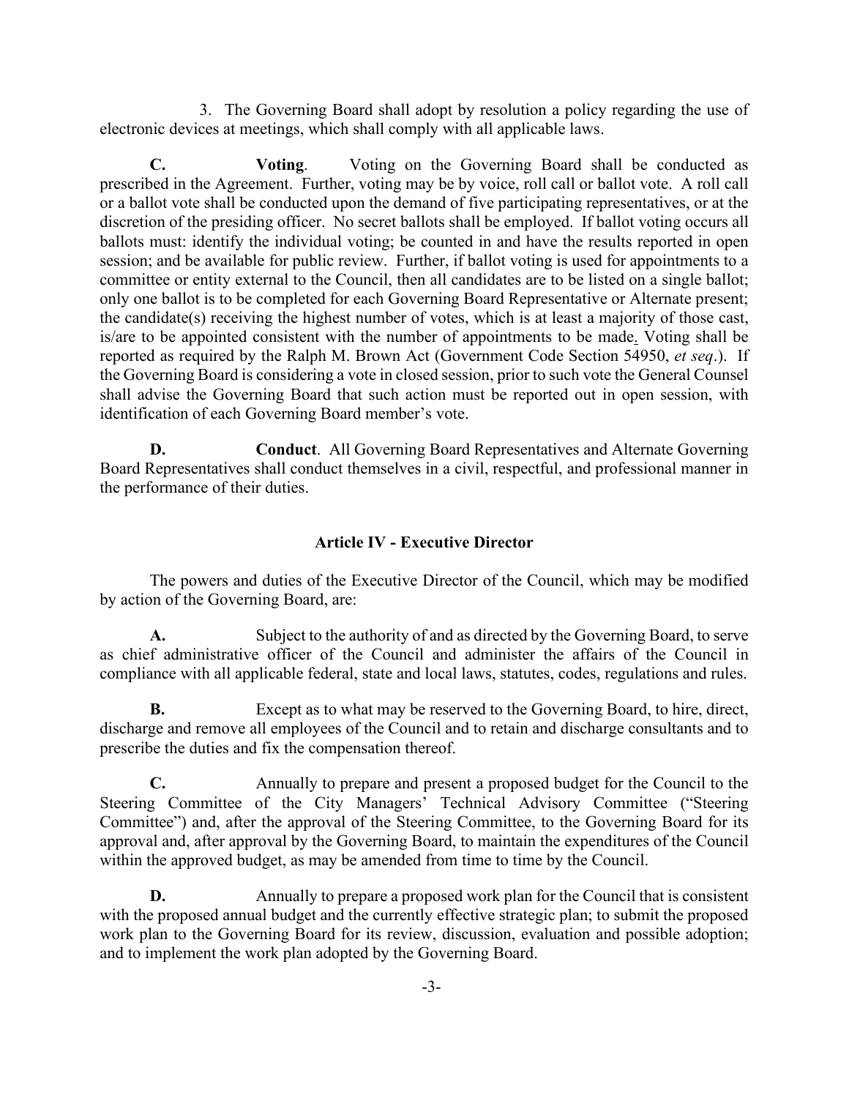3. The Governing Board shall adopt by resolution a policy regarding the use of electronic devices at meetings, which shall comply with all applicable laws.

<span id="page-4-0"></span>**C. Voting**. Voting on the Governing Board shall be conducted as prescribed in the Agreement. Further, voting may be by voice, roll call or ballot vote. A roll call or a ballot vote shall be conducted upon the demand of five participating representatives, or at the discretion of the presiding officer. No secret ballots shall be employed. If ballot voting occurs all ballots must: identify the individual voting; be counted in and have the results reported in open session; and be available for public review. Further, if ballot voting is used for appointments to a committee or entity external to the Council, then all candidates are to be listed on a single ballot; only one ballot is to be completed for each Governing Board Representative or Alternate present; the candidate(s) receiving the highest number of votes, which is at least a majority of those cast, is/are to be appointed consistent with the number of appointments to be made. Voting shall be reported as required by the Ralph M. Brown Act (Government Code Section 54950, *et seq*.). If the Governing Board is considering a vote in closed session, prior to such vote the General Counsel shall advise the Governing Board that such action must be reported out in open session, with identification of each Governing Board member's vote.

**D. Conduct**. All Governing Board Representatives and Alternate Governing Board Representatives shall conduct themselves in a civil, respectful, and professional manner in the performance of their duties.

#### **Article IV - Executive Director**

<span id="page-4-1"></span>The powers and duties of the Executive Director of the Council, which may be modified by action of the Governing Board, are:

**A.** Subject to the authority of and as directed by the Governing Board, to serve as chief administrative officer of the Council and administer the affairs of the Council in compliance with all applicable federal, state and local laws, statutes, codes, regulations and rules.

**B.** Except as to what may be reserved to the Governing Board, to hire, direct, discharge and remove all employees of the Council and to retain and discharge consultants and to prescribe the duties and fix the compensation thereof.

**C.** Annually to prepare and present a proposed budget for the Council to the Steering Committee of the City Managers' Technical Advisory Committee ("Steering Committee") and, after the approval of the Steering Committee, to the Governing Board for its approval and, after approval by the Governing Board, to maintain the expenditures of the Council within the approved budget, as may be amended from time to time by the Council.

**D.** Annually to prepare a proposed work plan for the Council that is consistent with the proposed annual budget and the currently effective strategic plan; to submit the proposed work plan to the Governing Board for its review, discussion, evaluation and possible adoption; and to implement the work plan adopted by the Governing Board.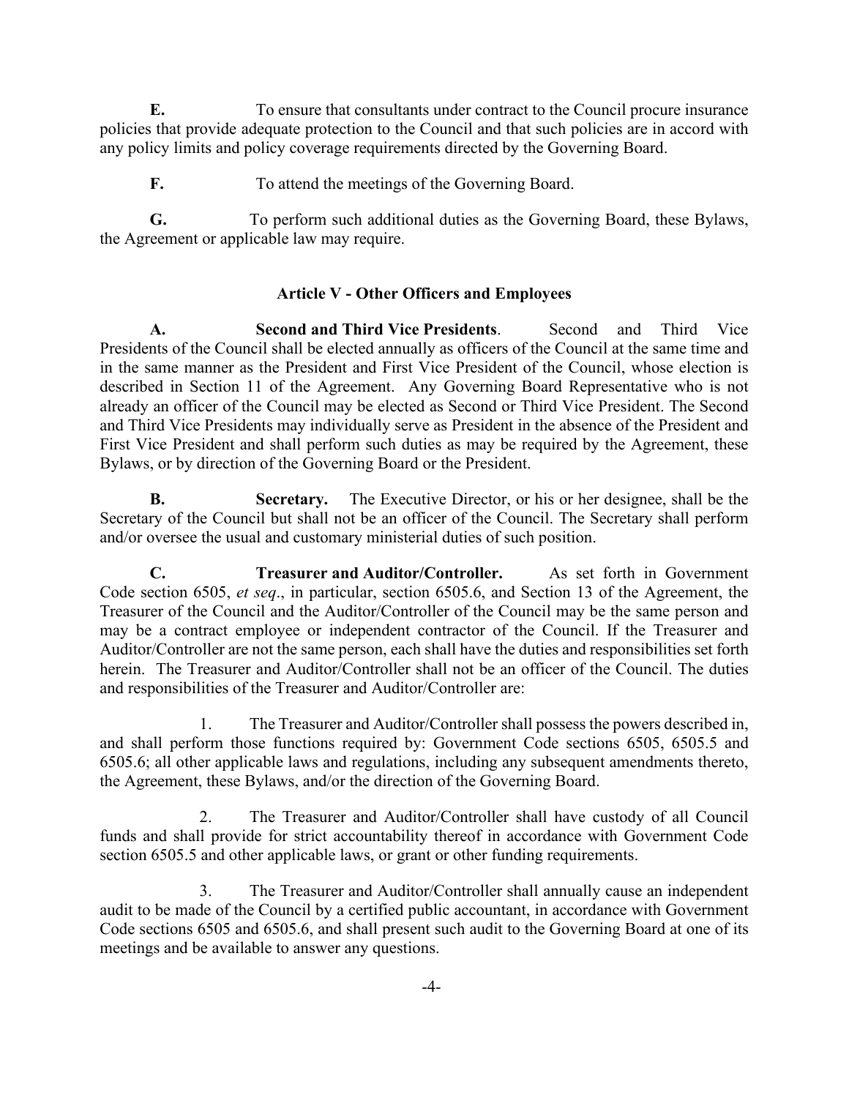**E.** To ensure that consultants under contract to the Council procure insurance policies that provide adequate protection to the Council and that such policies are in accord with any policy limits and policy coverage requirements directed by the Governing Board.

**F.** To attend the meetings of the Governing Board.

**G.** To perform such additional duties as the Governing Board, these Bylaws, the Agreement or applicable law may require.

# **Article V - Other Officers and Employees**

<span id="page-5-1"></span><span id="page-5-0"></span>**A. Second and Third Vice Presidents**. Second and Third Vice Presidents of the Council shall be elected annually as officers of the Council at the same time and in the same manner as the President and First Vice President of the Council, whose election is described in Section 11 of the Agreement. Any Governing Board Representative who is not already an officer of the Council may be elected as Second or Third Vice President. The Second and Third Vice Presidents may individually serve as President in the absence of the President and First Vice President and shall perform such duties as may be required by the Agreement, these Bylaws, or by direction of the Governing Board or the President.

<span id="page-5-2"></span>**B. Secretary.** The Executive Director, or his or her designee, shall be the Secretary of the Council but shall not be an officer of the Council. The Secretary shall perform and/or oversee the usual and customary ministerial duties of such position.

<span id="page-5-3"></span>**C. Treasurer and Auditor/Controller.** As set forth in Government Code section 6505, *et seq*., in particular, section 6505.6, and Section 13 of the Agreement, the Treasurer of the Council and the Auditor/Controller of the Council may be the same person and may be a contract employee or independent contractor of the Council. If the Treasurer and Auditor/Controller are not the same person, each shall have the duties and responsibilities set forth herein. The Treasurer and Auditor/Controller shall not be an officer of the Council. The duties and responsibilities of the Treasurer and Auditor/Controller are:

1. The Treasurer and Auditor/Controller shall possess the powers described in, and shall perform those functions required by: Government Code sections 6505, 6505.5 and 6505.6; all other applicable laws and regulations, including any subsequent amendments thereto, the Agreement, these Bylaws, and/or the direction of the Governing Board.

2. The Treasurer and Auditor/Controller shall have custody of all Council funds and shall provide for strict accountability thereof in accordance with Government Code section 6505.5 and other applicable laws, or grant or other funding requirements.

3. The Treasurer and Auditor/Controller shall annually cause an independent audit to be made of the Council by a certified public accountant, in accordance with Government Code sections 6505 and 6505.6, and shall present such audit to the Governing Board at one of its meetings and be available to answer any questions.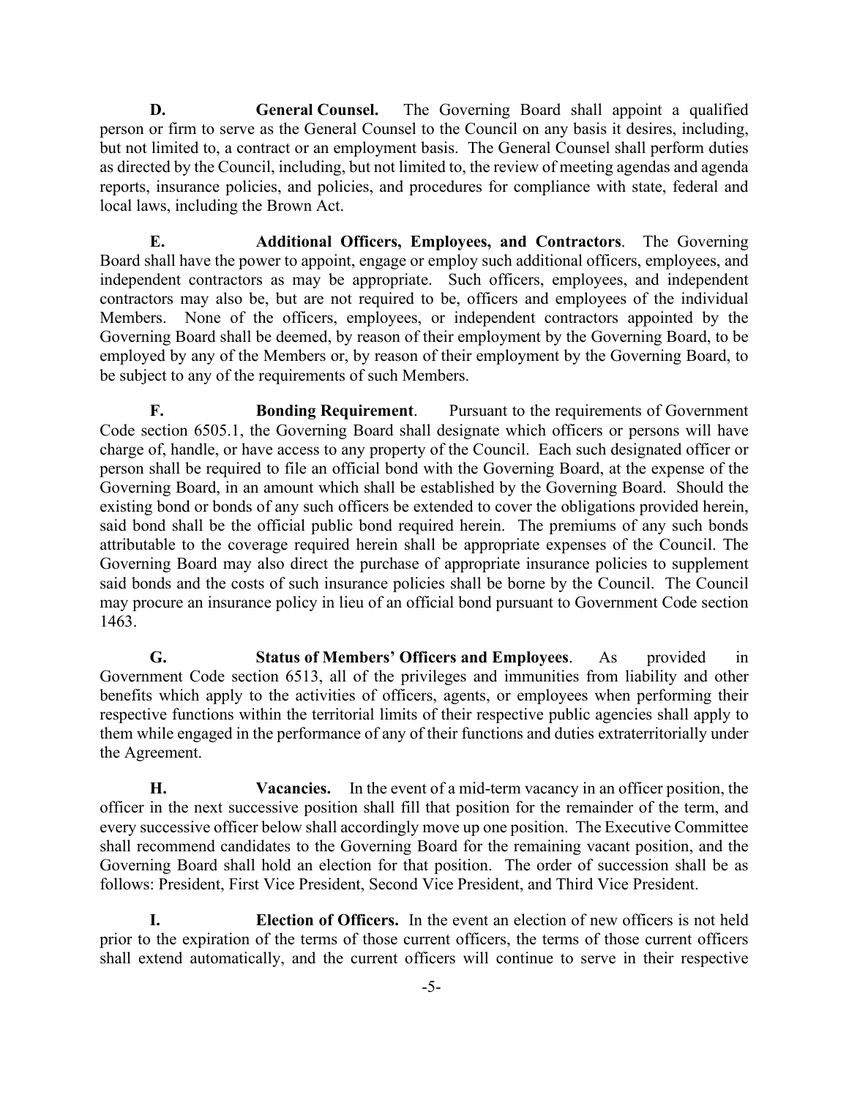<span id="page-6-0"></span>**D. General Counsel.** The Governing Board shall appoint a qualified person or firm to serve as the General Counsel to the Council on any basis it desires, including, but not limited to, a contract or an employment basis. The General Counsel shall perform duties as directed by the Council, including, but not limited to, the review of meeting agendas and agenda reports, insurance policies, and policies, and procedures for compliance with state, federal and local laws, including the Brown Act.

<span id="page-6-1"></span>**E. Additional Officers, Employees, and Contractors**. The Governing Board shall have the power to appoint, engage or employ such additional officers, employees, and independent contractors as may be appropriate. Such officers, employees, and independent contractors may also be, but are not required to be, officers and employees of the individual Members. None of the officers, employees, or independent contractors appointed by the Governing Board shall be deemed, by reason of their employment by the Governing Board, to be employed by any of the Members or, by reason of their employment by the Governing Board, to be subject to any of the requirements of such Members.

<span id="page-6-2"></span>**F. Bonding Requirement**. Pursuant to the requirements of Government Code section 6505.1, the Governing Board shall designate which officers or persons will have charge of, handle, or have access to any property of the Council. Each such designated officer or person shall be required to file an official bond with the Governing Board, at the expense of the Governing Board, in an amount which shall be established by the Governing Board. Should the existing bond or bonds of any such officers be extended to cover the obligations provided herein, said bond shall be the official public bond required herein. The premiums of any such bonds attributable to the coverage required herein shall be appropriate expenses of the Council. The Governing Board may also direct the purchase of appropriate insurance policies to supplement said bonds and the costs of such insurance policies shall be borne by the Council. The Council may procure an insurance policy in lieu of an official bond pursuant to Government Code section 1463.

<span id="page-6-3"></span>**G. Status of Members' Officers and Employees**. As provided in Government Code section 6513, all of the privileges and immunities from liability and other benefits which apply to the activities of officers, agents, or employees when performing their respective functions within the territorial limits of their respective public agencies shall apply to them while engaged in the performance of any of their functions and duties extraterritorially under the Agreement.

<span id="page-6-4"></span>**H. Vacancies.** In the event of a mid-term vacancy in an officer position, the officer in the next successive position shall fill that position for the remainder of the term, and every successive officer below shall accordingly move up one position. The Executive Committee shall recommend candidates to the Governing Board for the remaining vacant position, and the Governing Board shall hold an election for that position. The order of succession shall be as follows: President, First Vice President, Second Vice President, and Third Vice President.

<span id="page-6-5"></span>**I. Election of Officers.** In the event an election of new officers is not held prior to the expiration of the terms of those current officers, the terms of those current officers shall extend automatically, and the current officers will continue to serve in their respective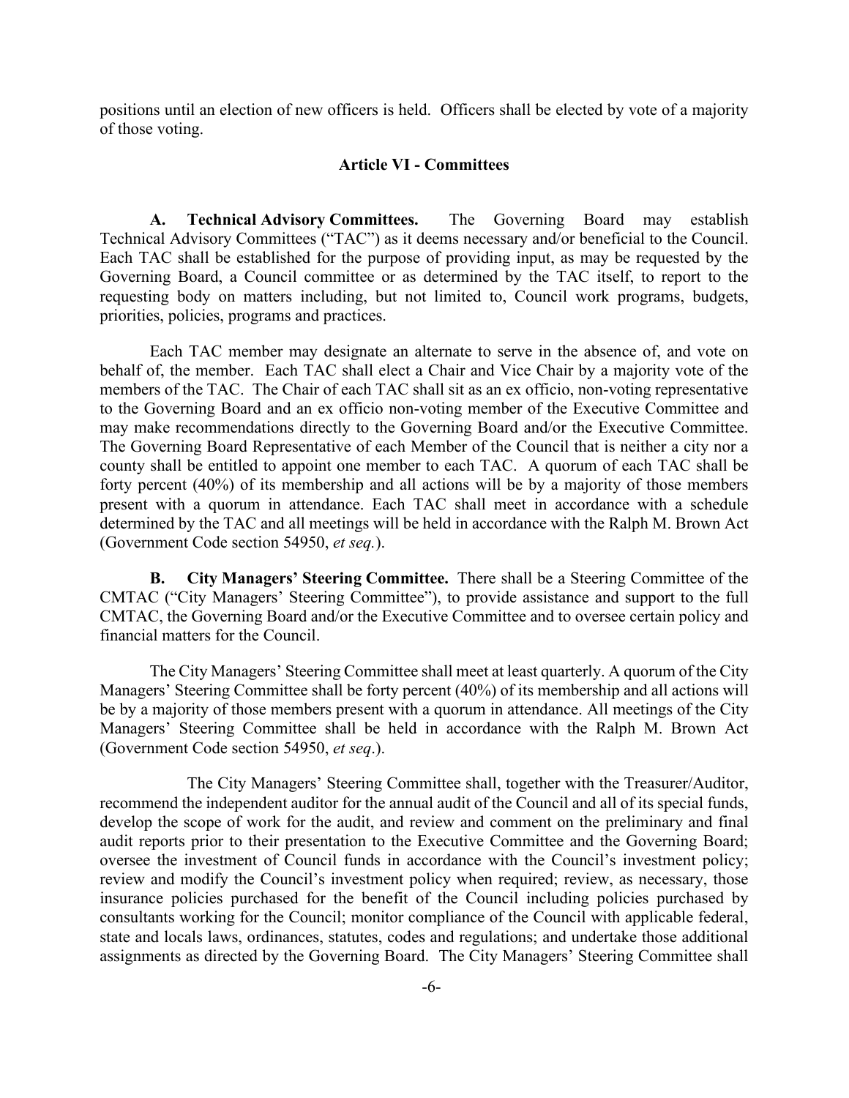<span id="page-7-0"></span>positions until an election of new officers is held. Officers shall be elected by vote of a majority of those voting.

#### **Article VI - Committees**

**A. Technical Advisory Committees.** The Governing Board may establish Technical Advisory Committees ("TAC") as it deems necessary and/or beneficial to the Council. Each TAC shall be established for the purpose of providing input, as may be requested by the Governing Board, a Council committee or as determined by the TAC itself, to report to the requesting body on matters including, but not limited to, Council work programs, budgets, priorities, policies, programs and practices.

Each TAC member may designate an alternate to serve in the absence of, and vote on behalf of, the member. Each TAC shall elect a Chair and Vice Chair by a majority vote of the members of the TAC. The Chair of each TAC shall sit as an ex officio, non-voting representative to the Governing Board and an ex officio non-voting member of the Executive Committee and may make recommendations directly to the Governing Board and/or the Executive Committee. The Governing Board Representative of each Member of the Council that is neither a city nor a county shall be entitled to appoint one member to each TAC. A quorum of each TAC shall be forty percent (40%) of its membership and all actions will be by a majority of those members present with a quorum in attendance. Each TAC shall meet in accordance with a schedule determined by the TAC and all meetings will be held in accordance with the Ralph M. Brown Act (Government Code section 54950, *et seq.*).

**B. City Managers' Steering Committee.** There shall be a Steering Committee of the CMTAC ("City Managers' Steering Committee"), to provide assistance and support to the full CMTAC, the Governing Board and/or the Executive Committee and to oversee certain policy and financial matters for the Council.

<span id="page-7-1"></span>The City Managers' Steering Committee shall meet at least quarterly. A quorum of the City Managers' Steering Committee shall be forty percent (40%) of its membership and all actions will be by a majority of those members present with a quorum in attendance. All meetings of the City Managers' Steering Committee shall be held in accordance with the Ralph M. Brown Act (Government Code section 54950, *et seq*.).

<span id="page-7-2"></span>The City Managers' Steering Committee shall, together with the Treasurer/Auditor, recommend the independent auditor for the annual audit of the Council and all of its special funds, develop the scope of work for the audit, and review and comment on the preliminary and final audit reports prior to their presentation to the Executive Committee and the Governing Board; oversee the investment of Council funds in accordance with the Council's investment policy; review and modify the Council's investment policy when required; review, as necessary, those insurance policies purchased for the benefit of the Council including policies purchased by consultants working for the Council; monitor compliance of the Council with applicable federal, state and locals laws, ordinances, statutes, codes and regulations; and undertake those additional assignments as directed by the Governing Board. The City Managers' Steering Committee shall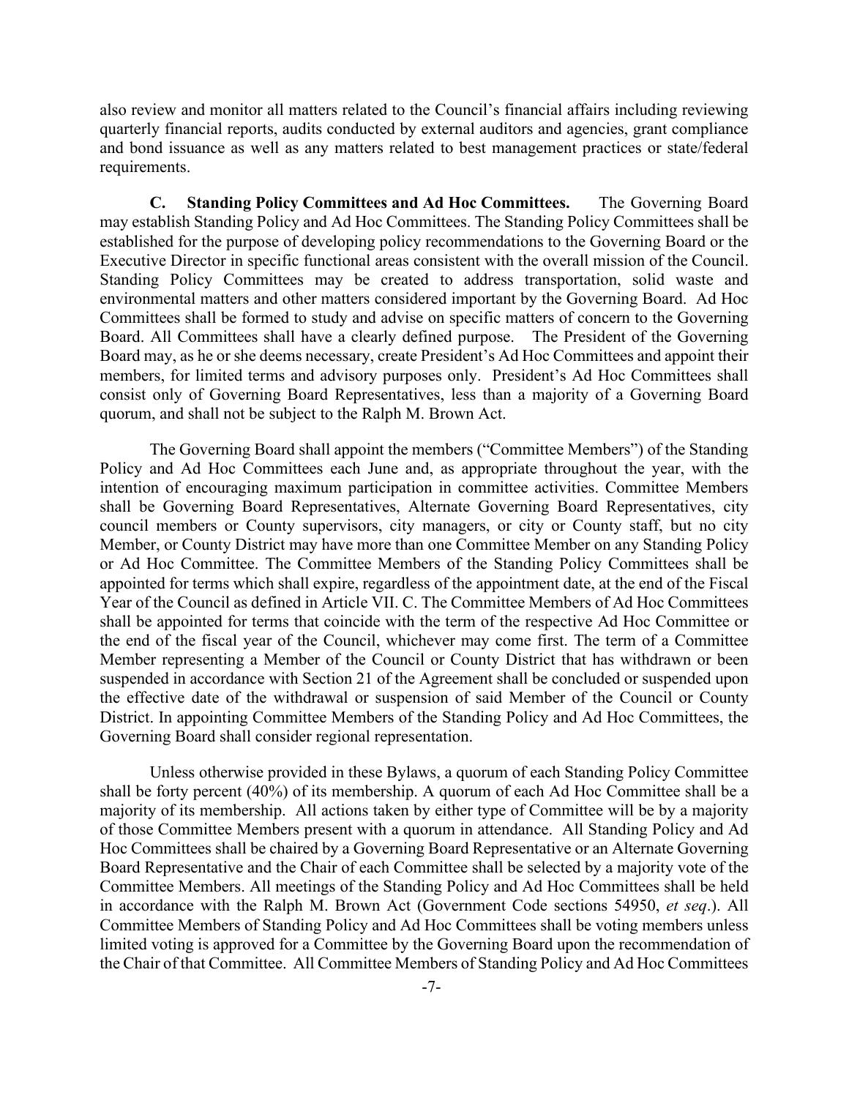also review and monitor all matters related to the Council's financial affairs including reviewing quarterly financial reports, audits conducted by external auditors and agencies, grant compliance and bond issuance as well as any matters related to best management practices or state/federal requirements.

<span id="page-8-0"></span>**C. Standing Policy Committees and Ad Hoc Committees.** The Governing Board may establish Standing Policy and Ad Hoc Committees. The Standing Policy Committees shall be established for the purpose of developing policy recommendations to the Governing Board or the Executive Director in specific functional areas consistent with the overall mission of the Council. Standing Policy Committees may be created to address transportation, solid waste and environmental matters and other matters considered important by the Governing Board. Ad Hoc Committees shall be formed to study and advise on specific matters of concern to the Governing Board. All Committees shall have a clearly defined purpose. The President of the Governing Board may, as he or she deems necessary, create President's Ad Hoc Committees and appoint their members, for limited terms and advisory purposes only. President's Ad Hoc Committees shall consist only of Governing Board Representatives, less than a majority of a Governing Board quorum, and shall not be subject to the Ralph M. Brown Act.

The Governing Board shall appoint the members ("Committee Members") of the Standing Policy and Ad Hoc Committees each June and, as appropriate throughout the year, with the intention of encouraging maximum participation in committee activities. Committee Members shall be Governing Board Representatives, Alternate Governing Board Representatives, city council members or County supervisors, city managers, or city or County staff, but no city Member, or County District may have more than one Committee Member on any Standing Policy or Ad Hoc Committee. The Committee Members of the Standing Policy Committees shall be appointed for terms which shall expire, regardless of the appointment date, at the end of the Fiscal Year of the Council as defined in Article VII. C. The Committee Members of Ad Hoc Committees shall be appointed for terms that coincide with the term of the respective Ad Hoc Committee or the end of the fiscal year of the Council, whichever may come first. The term of a Committee Member representing a Member of the Council or County District that has withdrawn or been suspended in accordance with Section 21 of the Agreement shall be concluded or suspended upon the effective date of the withdrawal or suspension of said Member of the Council or County District. In appointing Committee Members of the Standing Policy and Ad Hoc Committees, the Governing Board shall consider regional representation.

<span id="page-8-1"></span>Unless otherwise provided in these Bylaws, a quorum of each Standing Policy Committee shall be forty percent (40%) of its membership. A quorum of each Ad Hoc Committee shall be a majority of its membership. All actions taken by either type of Committee will be by a majority of those Committee Members present with a quorum in attendance. All Standing Policy and Ad Hoc Committees shall be chaired by a Governing Board Representative or an Alternate Governing Board Representative and the Chair of each Committee shall be selected by a majority vote of the Committee Members. All meetings of the Standing Policy and Ad Hoc Committees shall be held in accordance with the Ralph M. Brown Act (Government Code sections 54950, *et seq*.). All Committee Members of Standing Policy and Ad Hoc Committees shall be voting members unless limited voting is approved for a Committee by the Governing Board upon the recommendation of the Chair of that Committee. All Committee Members of Standing Policy and Ad Hoc Committees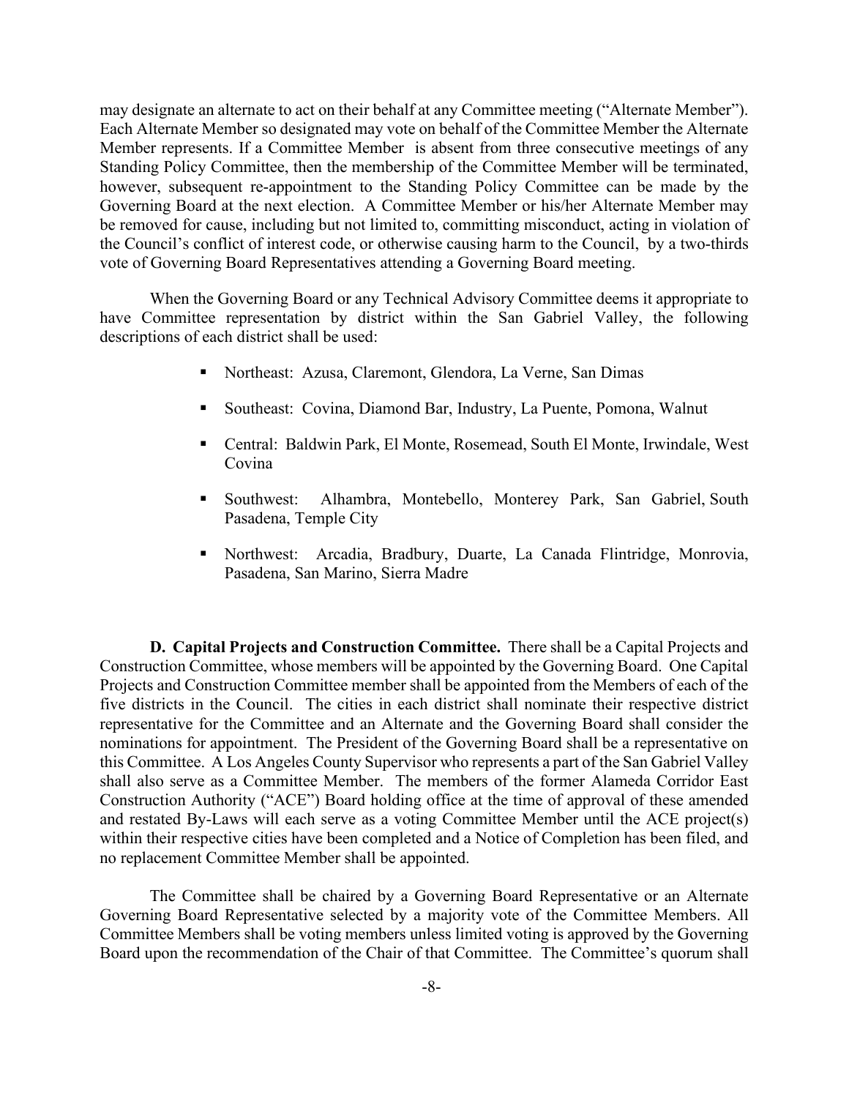may designate an alternate to act on their behalf at any Committee meeting ("Alternate Member"). Each Alternate Member so designated may vote on behalf of the Committee Member the Alternate Member represents. If a Committee Member is absent from three consecutive meetings of any Standing Policy Committee, then the membership of the Committee Member will be terminated, however, subsequent re-appointment to the Standing Policy Committee can be made by the Governing Board at the next election. A Committee Member or his/her Alternate Member may be removed for cause, including but not limited to, committing misconduct, acting in violation of the Council's conflict of interest code, or otherwise causing harm to the Council, by a two-thirds vote of Governing Board Representatives attending a Governing Board meeting.

When the Governing Board or any Technical Advisory Committee deems it appropriate to have Committee representation by district within the San Gabriel Valley, the following descriptions of each district shall be used:

- Northeast: Azusa, Claremont, Glendora, La Verne, San Dimas
- Southeast: Covina, Diamond Bar, Industry, La Puente, Pomona, Walnut
- Central: Baldwin Park, El Monte, Rosemead, South El Monte, Irwindale, West Covina
- Southwest: Alhambra, Montebello, Monterey Park, San Gabriel, South Pasadena, Temple City
- Northwest: Arcadia, Bradbury, Duarte, La Canada Flintridge, Monrovia, Pasadena, San Marino, Sierra Madre

**D. Capital Projects and Construction Committee.** There shall be a Capital Projects and Construction Committee, whose members will be appointed by the Governing Board. One Capital Projects and Construction Committee member shall be appointed from the Members of each of the five districts in the Council. The cities in each district shall nominate their respective district representative for the Committee and an Alternate and the Governing Board shall consider the nominations for appointment. The President of the Governing Board shall be a representative on this Committee. A Los Angeles County Supervisor who represents a part of the San Gabriel Valley shall also serve as a Committee Member. The members of the former Alameda Corridor East Construction Authority ("ACE") Board holding office at the time of approval of these amended and restated By-Laws will each serve as a voting Committee Member until the ACE project(s) within their respective cities have been completed and a Notice of Completion has been filed, and no replacement Committee Member shall be appointed.

The Committee shall be chaired by a Governing Board Representative or an Alternate Governing Board Representative selected by a majority vote of the Committee Members. All Committee Members shall be voting members unless limited voting is approved by the Governing Board upon the recommendation of the Chair of that Committee. The Committee's quorum shall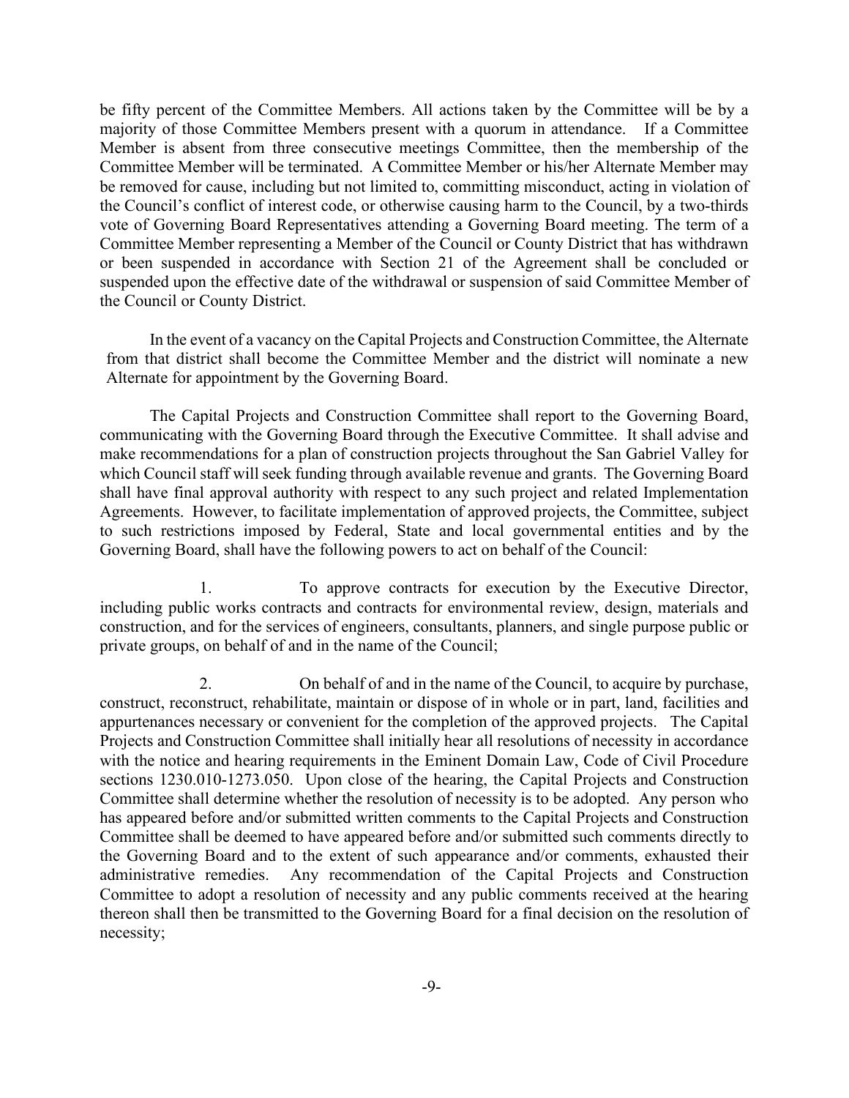be fifty percent of the Committee Members. All actions taken by the Committee will be by a majority of those Committee Members present with a quorum in attendance. If a Committee Member is absent from three consecutive meetings Committee, then the membership of the Committee Member will be terminated. A Committee Member or his/her Alternate Member may be removed for cause, including but not limited to, committing misconduct, acting in violation of the Council's conflict of interest code, or otherwise causing harm to the Council, by a two-thirds vote of Governing Board Representatives attending a Governing Board meeting. The term of a Committee Member representing a Member of the Council or County District that has withdrawn or been suspended in accordance with Section 21 of the Agreement shall be concluded or suspended upon the effective date of the withdrawal or suspension of said Committee Member of the Council or County District.

In the event of a vacancy on the Capital Projects and Construction Committee, the Alternate from that district shall become the Committee Member and the district will nominate a new Alternate for appointment by the Governing Board.

The Capital Projects and Construction Committee shall report to the Governing Board, communicating with the Governing Board through the Executive Committee. It shall advise and make recommendations for a plan of construction projects throughout the San Gabriel Valley for which Council staff will seek funding through available revenue and grants. The Governing Board shall have final approval authority with respect to any such project and related Implementation Agreements. However, to facilitate implementation of approved projects, the Committee, subject to such restrictions imposed by Federal, State and local governmental entities and by the Governing Board, shall have the following powers to act on behalf of the Council:

1. To approve contracts for execution by the Executive Director, including public works contracts and contracts for environmental review, design, materials and construction, and for the services of engineers, consultants, planners, and single purpose public or private groups, on behalf of and in the name of the Council;

2. On behalf of and in the name of the Council, to acquire by purchase, construct, reconstruct, rehabilitate, maintain or dispose of in whole or in part, land, facilities and appurtenances necessary or convenient for the completion of the approved projects. The Capital Projects and Construction Committee shall initially hear all resolutions of necessity in accordance with the notice and hearing requirements in the Eminent Domain Law, Code of Civil Procedure sections 1230.010-1273.050. Upon close of the hearing, the Capital Projects and Construction Committee shall determine whether the resolution of necessity is to be adopted. Any person who has appeared before and/or submitted written comments to the Capital Projects and Construction Committee shall be deemed to have appeared before and/or submitted such comments directly to the Governing Board and to the extent of such appearance and/or comments, exhausted their administrative remedies. Any recommendation of the Capital Projects and Construction Committee to adopt a resolution of necessity and any public comments received at the hearing thereon shall then be transmitted to the Governing Board for a final decision on the resolution of necessity;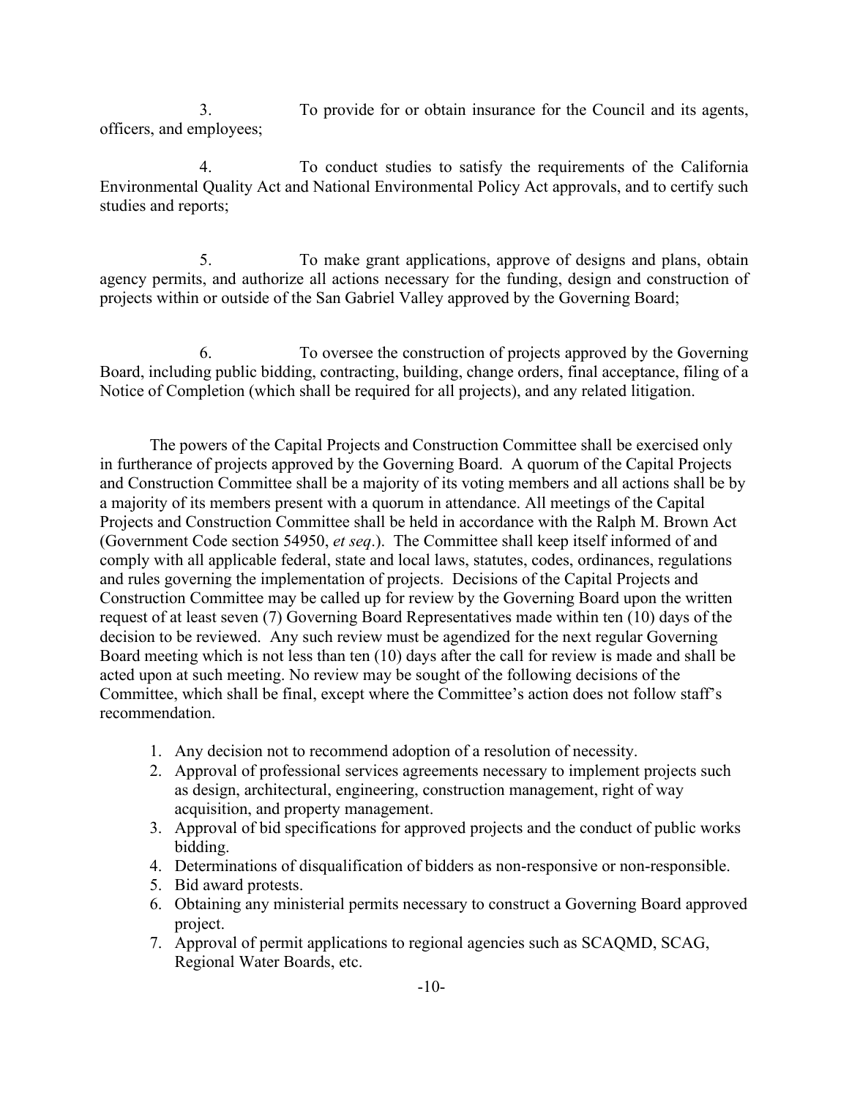3. To provide for or obtain insurance for the Council and its agents, officers, and employees;

4. To conduct studies to satisfy the requirements of the California Environmental Quality Act and National Environmental Policy Act approvals, and to certify such studies and reports;

5. To make grant applications, approve of designs and plans, obtain agency permits, and authorize all actions necessary for the funding, design and construction of projects within or outside of the San Gabriel Valley approved by the Governing Board;

6. To oversee the construction of projects approved by the Governing Board, including public bidding, contracting, building, change orders, final acceptance, filing of a Notice of Completion (which shall be required for all projects), and any related litigation.

The powers of the Capital Projects and Construction Committee shall be exercised only in furtherance of projects approved by the Governing Board. A quorum of the Capital Projects and Construction Committee shall be a majority of its voting members and all actions shall be by a majority of its members present with a quorum in attendance. All meetings of the Capital Projects and Construction Committee shall be held in accordance with the Ralph M. Brown Act (Government Code section 54950, *et seq*.). The Committee shall keep itself informed of and comply with all applicable federal, state and local laws, statutes, codes, ordinances, regulations and rules governing the implementation of projects. Decisions of the Capital Projects and Construction Committee may be called up for review by the Governing Board upon the written request of at least seven (7) Governing Board Representatives made within ten (10) days of the decision to be reviewed. Any such review must be agendized for the next regular Governing Board meeting which is not less than ten (10) days after the call for review is made and shall be acted upon at such meeting. No review may be sought of the following decisions of the Committee, which shall be final, except where the Committee's action does not follow staff's recommendation.

- 1. Any decision not to recommend adoption of a resolution of necessity.
- 2. Approval of professional services agreements necessary to implement projects such as design, architectural, engineering, construction management, right of way acquisition, and property management.
- 3. Approval of bid specifications for approved projects and the conduct of public works bidding.
- 4. Determinations of disqualification of bidders as non-responsive or non-responsible.
- 5. Bid award protests.
- 6. Obtaining any ministerial permits necessary to construct a Governing Board approved project.
- 7. Approval of permit applications to regional agencies such as SCAQMD, SCAG, Regional Water Boards, etc.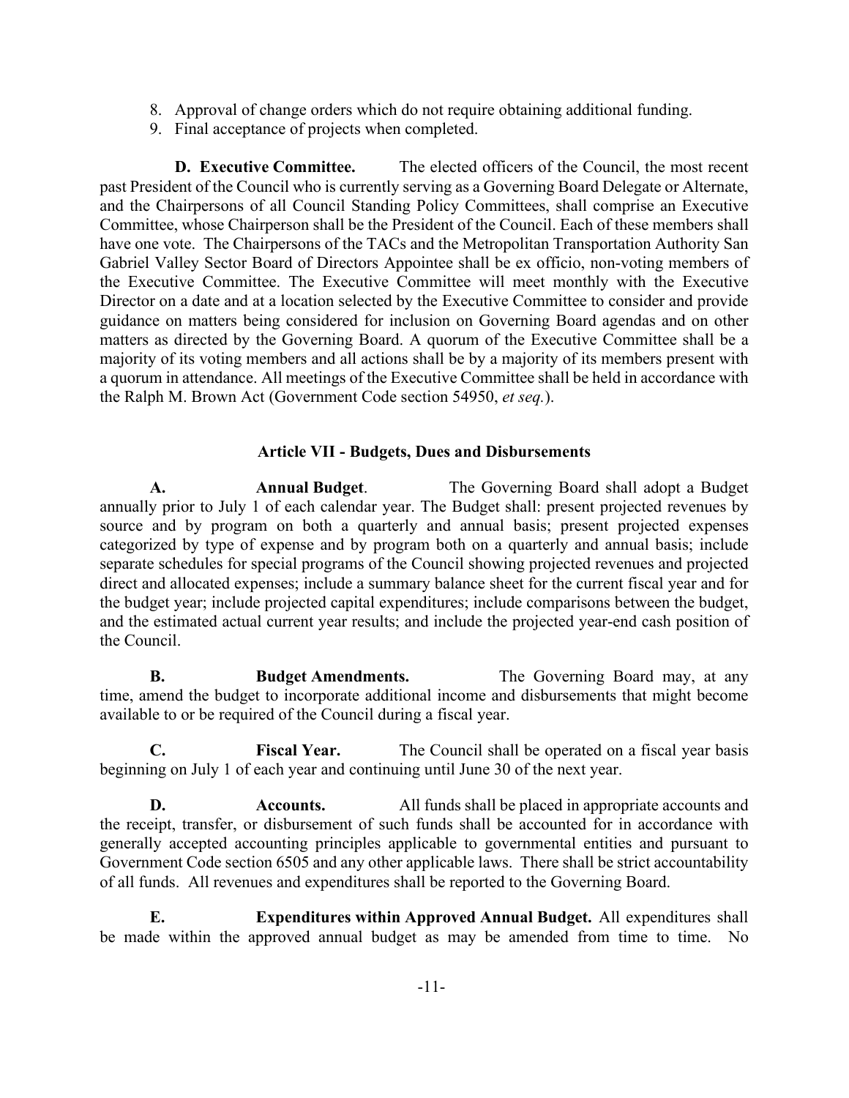- 8. Approval of change orders which do not require obtaining additional funding.
- 9. Final acceptance of projects when completed.

**D. Executive Committee.** The elected officers of the Council, the most recent past President of the Council who is currently serving as a Governing Board Delegate or Alternate, and the Chairpersons of all Council Standing Policy Committees, shall comprise an Executive Committee, whose Chairperson shall be the President of the Council. Each of these members shall have one vote. The Chairpersons of the TACs and the Metropolitan Transportation Authority San Gabriel Valley Sector Board of Directors Appointee shall be ex officio, non-voting members of the Executive Committee. The Executive Committee will meet monthly with the Executive Director on a date and at a location selected by the Executive Committee to consider and provide guidance on matters being considered for inclusion on Governing Board agendas and on other matters as directed by the Governing Board. A quorum of the Executive Committee shall be a majority of its voting members and all actions shall be by a majority of its members present with a quorum in attendance. All meetings of the Executive Committee shall be held in accordance with the Ralph M. Brown Act (Government Code section 54950, *et seq.*).

## **Article VII - Budgets, Dues and Disbursements**

<span id="page-12-1"></span><span id="page-12-0"></span>**A. Annual Budget**. The Governing Board shall adopt a Budget annually prior to July 1 of each calendar year. The Budget shall: present projected revenues by source and by program on both a quarterly and annual basis; present projected expenses categorized by type of expense and by program both on a quarterly and annual basis; include separate schedules for special programs of the Council showing projected revenues and projected direct and allocated expenses; include a summary balance sheet for the current fiscal year and for the budget year; include projected capital expenditures; include comparisons between the budget, and the estimated actual current year results; and include the projected year-end cash position of the Council.

<span id="page-12-2"></span>**B. Budget Amendments.** The Governing Board may, at any time, amend the budget to incorporate additional income and disbursements that might become available to or be required of the Council during a fiscal year.

<span id="page-12-3"></span>**C. Fiscal Year.** The Council shall be operated on a fiscal year basis beginning on July 1 of each year and continuing until June 30 of the next year.

<span id="page-12-4"></span>**D. Accounts.** All funds shall be placed in appropriate accounts and the receipt, transfer, or disbursement of such funds shall be accounted for in accordance with generally accepted accounting principles applicable to governmental entities and pursuant to Government Code section 6505 and any other applicable laws. There shall be strict accountability of all funds. All revenues and expenditures shall be reported to the Governing Board.

<span id="page-12-5"></span>**E. Expenditures within Approved Annual Budget.** All expenditures shall be made within the approved annual budget as may be amended from time to time. No